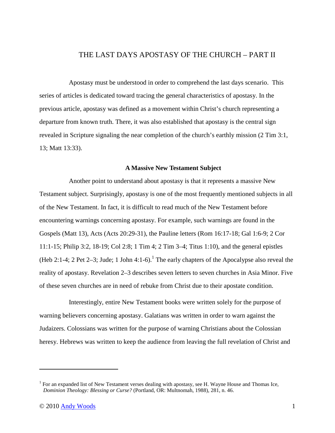# THE LAST DAYS APOSTASY OF THE CHURCH – PART II

Apostasy must be understood in order to comprehend the last days scenario. This series of articles is dedicated toward tracing the general characteristics of apostasy. In the previous article, apostasy was defined as a movement within Christ's church representing a departure from known truth. There, it was also established that apostasy is the central sign revealed in Scripture signaling the near completion of the church's earthly mission (2 Tim 3:1, 13; Matt 13:33).

#### **A Massive New Testament Subject**

Another point to understand about apostasy is that it represents a massive New Testament subject. Surprisingly, apostasy is one of the most frequently mentioned subjects in all of the New Testament. In fact, it is difficult to read much of the New Testament before encountering warnings concerning apostasy. For example, such warnings are found in the Gospels (Matt 13), Acts (Acts 20:29-31), the Pauline letters (Rom 16:17-18; Gal 1:6-9; 2 Cor 11:1-15; Philip 3:2, 18-19; Col 2:8; 1 Tim 4; 2 Tim 3–4; Titus 1:10), and the general epistles (Heb 2:1-4; 2 Pet 2–3; Jude; 1 John 4:1-6).<sup>1</sup> The early chapters of the Apocalypse also reveal the reality of apostasy. Revelation 2–3 describes seven letters to seven churches in Asia Minor. Five of these seven churches are in need of rebuke from Christ due to their apostate condition.

Interestingly, entire New Testament books were written solely for the purpose of warning believers concerning apostasy. Galatians was written in order to warn against the Judaizers. Colossians was written for the purpose of warning Christians about the Colossian heresy. Hebrews was written to keep the audience from leaving the full revelation of Christ and

 $\overline{a}$ 

<sup>&</sup>lt;sup>1</sup> For an expanded list of New Testament verses dealing with apostasy, see H. Wayne House and Thomas Ice, *Dominion Theology: Blessing or Curse?* (Portland, OR: Multnomah, 1988), 281, n. 46.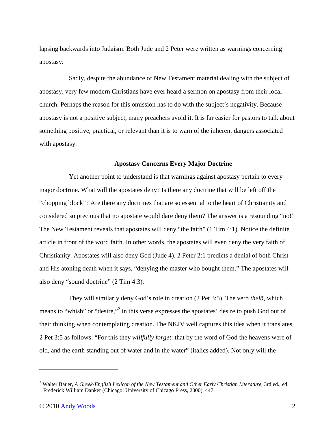lapsing backwards into Judaism. Both Jude and 2 Peter were written as warnings concerning apostasy.

Sadly, despite the abundance of New Testament material dealing with the subject of apostasy, very few modern Christians have ever heard a sermon on apostasy from their local church. Perhaps the reason for this omission has to do with the subject's negativity. Because apostasy is not a positive subject, many preachers avoid it. It is far easier for pastors to talk about something positive, practical, or relevant than it is to warn of the inherent dangers associated with apostasy.

### **Apostasy Concerns Every Major Doctrine**

Yet another point to understand is that warnings against apostasy pertain to every major doctrine. What will the apostates deny? Is there any doctrine that will be left off the "chopping block"? Are there any doctrines that are so essential to the heart of Christianity and considered so precious that no apostate would dare deny them? The answer is a resounding "no!" The New Testament reveals that apostates will deny "the faith" (1 Tim 4:1). Notice the definite article in front of the word faith. In other words, the apostates will even deny the very faith of Christianity. Apostates will also deny God (Jude 4). 2 Peter 2:1 predicts a denial of both Christ and His atoning death when it says, "denying the master who bought them." The apostates will also deny "sound doctrine" (2 Tim 4:3).

They will similarly deny God's role in creation (2 Pet 3:5). The verb *thelō*, which means to "whish" or "desire,"<sup>2</sup> in this verse expresses the apostates' desire to push God out of their thinking when contemplating creation. The NKJV well captures this idea when it translates 2 Pet 3:5 as follows: "For this they *willfully forget*: that by the word of God the heavens were of old, and the earth standing out of water and in the water" (italics added). Not only will the

<u>.</u>

<sup>&</sup>lt;sup>2</sup> Walter Bauer, *A Greek-English Lexicon of the New Testament and Other Early Christian Literature*, 3rd ed., ed. Frederick William Danker (Chicago: University of Chicago Press, 2000), 447.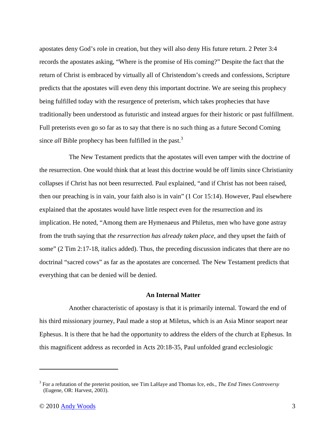apostates deny God's role in creation, but they will also deny His future return. 2 Peter 3:4 records the apostates asking, "Where is the promise of His coming?" Despite the fact that the return of Christ is embraced by virtually all of Christendom's creeds and confessions, Scripture predicts that the apostates will even deny this important doctrine. We are seeing this prophecy being fulfilled today with the resurgence of preterism, which takes prophecies that have traditionally been understood as futuristic and instead argues for their historic or past fulfillment. Full preterists even go so far as to say that there is no such thing as a future Second Coming since *all* Bible prophecy has been fulfilled in the past.<sup>3</sup>

The New Testament predicts that the apostates will even tamper with the doctrine of the resurrection. One would think that at least this doctrine would be off limits since Christianity collapses if Christ has not been resurrected. Paul explained, "and if Christ has not been raised, then our preaching is in vain, your faith also is in vain" (1 Cor 15:14). However, Paul elsewhere explained that the apostates would have little respect even for the resurrection and its implication. He noted, "Among them are Hymenaeus and Philetus, men who have gone astray from the truth saying that *the resurrection has already taken place*, and they upset the faith of some" (2 Tim 2:17-18, italics added). Thus, the preceding discussion indicates that there are no doctrinal "sacred cows" as far as the apostates are concerned. The New Testament predicts that everything that can be denied will be denied.

## **An Internal Matter**

Another characteristic of apostasy is that it is primarily internal. Toward the end of his third missionary journey, Paul made a stop at Miletus, which is an Asia Minor seaport near Ephesus. It is there that he had the opportunity to address the elders of the church at Ephesus. In this magnificent address as recorded in Acts 20:18-35, Paul unfolded grand ecclesiologic

 $\overline{a}$ 

<sup>3</sup> For a refutation of the preterist position, see Tim LaHaye and Thomas Ice, eds., *The End Times Controversy* (Eugene, OR: Harvest, 2003).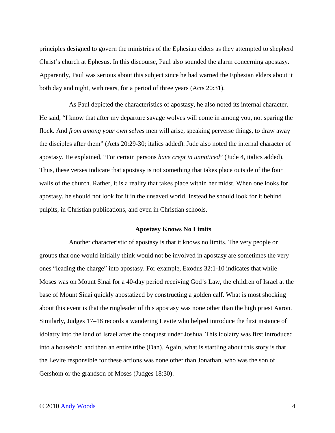principles designed to govern the ministries of the Ephesian elders as they attempted to shepherd Christ's church at Ephesus. In this discourse, Paul also sounded the alarm concerning apostasy. Apparently, Paul was serious about this subject since he had warned the Ephesian elders about it both day and night, with tears, for a period of three years (Acts 20:31).

As Paul depicted the characteristics of apostasy, he also noted its internal character. He said, "I know that after my departure savage wolves will come in among you, not sparing the flock. And *from among your own selves* men will arise, speaking perverse things, to draw away the disciples after them" (Acts 20:29-30; italics added). Jude also noted the internal character of apostasy. He explained, "For certain persons *have crept in unnoticed*" (Jude 4, italics added). Thus, these verses indicate that apostasy is not something that takes place outside of the four walls of the church. Rather, it is a reality that takes place within her midst. When one looks for apostasy, he should not look for it in the unsaved world. Instead he should look for it behind pulpits, in Christian publications, and even in Christian schools.

#### **Apostasy Knows No Limits**

Another characteristic of apostasy is that it knows no limits. The very people or groups that one would initially think would not be involved in apostasy are sometimes the very ones "leading the charge" into apostasy. For example, Exodus 32:1-10 indicates that while Moses was on Mount Sinai for a 40-day period receiving God's Law, the children of Israel at the base of Mount Sinai quickly apostatized by constructing a golden calf. What is most shocking about this event is that the ringleader of this apostasy was none other than the high priest Aaron. Similarly, Judges 17–18 records a wandering Levite who helped introduce the first instance of idolatry into the land of Israel after the conquest under Joshua. This idolatry was first introduced into a household and then an entire tribe (Dan). Again, what is startling about this story is that the Levite responsible for these actions was none other than Jonathan, who was the son of Gershom or the grandson of Moses (Judges 18:30).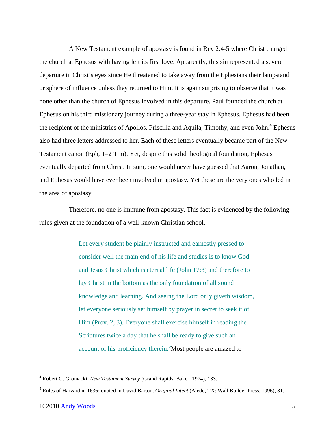A New Testament example of apostasy is found in Rev 2:4-5 where Christ charged the church at Ephesus with having left its first love. Apparently, this sin represented a severe departure in Christ's eyes since He threatened to take away from the Ephesians their lampstand or sphere of influence unless they returned to Him. It is again surprising to observe that it was none other than the church of Ephesus involved in this departure. Paul founded the church at Ephesus on his third missionary journey during a three-year stay in Ephesus. Ephesus had been the recipient of the ministries of Apollos, Priscilla and Aquila, Timothy, and even John.<sup>4</sup> Ephesus also had three letters addressed to her. Each of these letters eventually became part of the New Testament canon (Eph, 1–2 Tim). Yet, despite this solid theological foundation, Ephesus eventually departed from Christ. In sum, one would never have guessed that Aaron, Jonathan, and Ephesus would have ever been involved in apostasy. Yet these are the very ones who led in the area of apostasy.

Therefore, no one is immune from apostasy. This fact is evidenced by the following rules given at the foundation of a well-known Christian school.

> Let every student be plainly instructed and earnestly pressed to consider well the main end of his life and studies is to know God and Jesus Christ which is eternal life (John 17:3) and therefore to lay Christ in the bottom as the only foundation of all sound knowledge and learning. And seeing the Lord only giveth wisdom, let everyone seriously set himself by prayer in secret to seek it of Him (Prov. 2, 3). Everyone shall exercise himself in reading the Scriptures twice a day that he shall be ready to give such an account of his proficiency therein.<sup>5</sup>Most people are amazed to

<u>.</u>

<sup>4</sup> Robert G. Gromacki, *New Testament Survey* (Grand Rapids: Baker, 1974), 133.

<sup>5</sup> Rules of Harvard in 1636; quoted in David Barton, *Original Intent* (Aledo, TX: Wall Builder Press, 1996), 81.